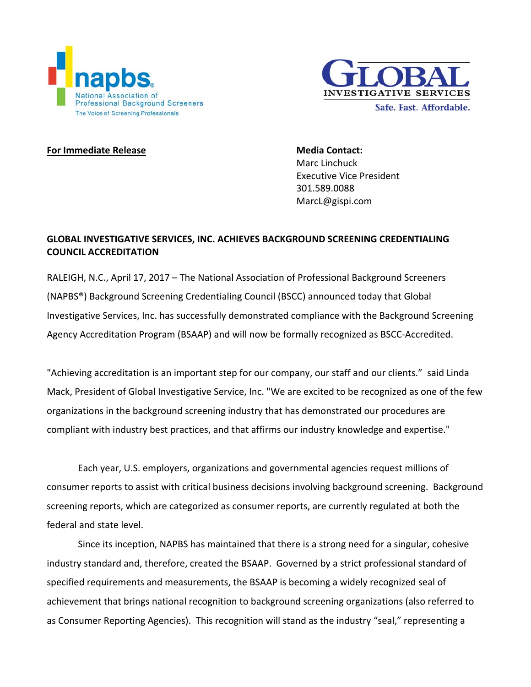



## **For Immediate Release Media Contact:**

Marc Linchuck Executive Vice President 301.589.0088 MarcL@gispi.com

# **GLOBAL INVESTIGATIVE SERVICES, INC. ACHIEVES BACKGROUND SCREENING CREDENTIALING COUNCIL ACCREDITATION**

RALEIGH, N.C., April 17, 2017 – The National Association of Professional Background Screeners (NAPBS®) Background Screening Credentialing Council (BSCC) announced today that Global Investigative Services, Inc. has successfully demonstrated compliance with the Background Screening Agency Accreditation Program (BSAAP) and will now be formally recognized as BSCC‐Accredited.

"Achieving accreditation is an important step for our company, our staff and our clients." said Linda Mack, President of Global Investigative Service, Inc. "We are excited to be recognized as one of the few organizations in the background screening industry that has demonstrated our procedures are compliant with industry best practices, and that affirms our industry knowledge and expertise."

Each year, U.S. employers, organizations and governmental agencies request millions of consumer reports to assist with critical business decisions involving background screening. Background screening reports, which are categorized as consumer reports, are currently regulated at both the federal and state level.

Since its inception, NAPBS has maintained that there is a strong need for a singular, cohesive industry standard and, therefore, created the BSAAP. Governed by a strict professional standard of specified requirements and measurements, the BSAAP is becoming a widely recognized seal of achievement that brings national recognition to background screening organizations (also referred to as Consumer Reporting Agencies). This recognition will stand as the industry "seal," representing a